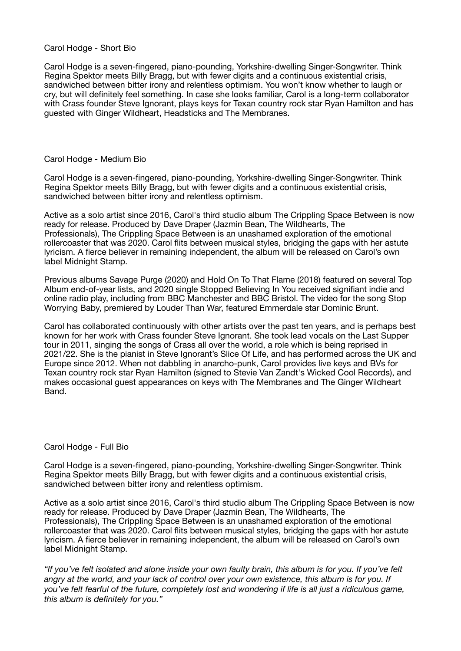## Carol Hodge - Short Bio

Carol Hodge is a seven-fingered, piano-pounding, Yorkshire-dwelling Singer-Songwriter. Think Regina Spektor meets Billy Bragg, but with fewer digits and a continuous existential crisis, sandwiched between bitter irony and relentless optimism. You won't know whether to laugh or cry, but will definitely feel something. In case she looks familiar, Carol is a long-term collaborator with Crass founder Steve Ignorant, plays keys for Texan country rock star Ryan Hamilton and has guested with Ginger Wildheart, Headsticks and The Membranes.

## Carol Hodge - Medium Bio

Carol Hodge is a seven-fingered, piano-pounding, Yorkshire-dwelling Singer-Songwriter. Think Regina Spektor meets Billy Bragg, but with fewer digits and a continuous existential crisis, sandwiched between bitter irony and relentless optimism.

Active as a solo artist since 2016, Carol's third studio album The Crippling Space Between is now ready for release. Produced by Dave Draper (Jazmin Bean, The Wildhearts, The Professionals), The Crippling Space Between is an unashamed exploration of the emotional rollercoaster that was 2020. Carol flits between musical styles, bridging the gaps with her astute lyricism. A fierce believer in remaining independent, the album will be released on Carol's own label Midnight Stamp.

Previous albums Savage Purge (2020) and Hold On To That Flame (2018) featured on several Top Album end-of-year lists, and 2020 single Stopped Believing In You received signifiant indie and online radio play, including from BBC Manchester and BBC Bristol. The video for the song Stop Worrying Baby, premiered by Louder Than War, featured Emmerdale star Dominic Brunt.

Carol has collaborated continuously with other artists over the past ten years, and is perhaps best known for her work with Crass founder Steve Ignorant. She took lead vocals on the Last Supper tour in 2011, singing the songs of Crass all over the world, a role which is being reprised in 2021/22. She is the pianist in Steve Ignorant's Slice Of Life, and has performed across the UK and Europe since 2012. When not dabbling in anarcho-punk, Carol provides live keys and BVs for Texan country rock star Ryan Hamilton (signed to Stevie Van Zandt's Wicked Cool Records), and makes occasional guest appearances on keys with The Membranes and The Ginger Wildheart Band.

## Carol Hodge - Full Bio

Carol Hodge is a seven-fingered, piano-pounding, Yorkshire-dwelling Singer-Songwriter. Think Regina Spektor meets Billy Bragg, but with fewer digits and a continuous existential crisis, sandwiched between bitter irony and relentless optimism.

Active as a solo artist since 2016, Carol's third studio album The Crippling Space Between is now ready for release. Produced by Dave Draper (Jazmin Bean, The Wildhearts, The Professionals), The Crippling Space Between is an unashamed exploration of the emotional rollercoaster that was 2020. Carol flits between musical styles, bridging the gaps with her astute lyricism. A fierce believer in remaining independent, the album will be released on Carol's own label Midnight Stamp.

*"If you've felt isolated and alone inside your own faulty brain, this album is for you. If you've felt*  angry at the world, and your lack of control over your own existence, this album is for you. If *you've felt fearful of the future, completely lost and wondering if life is all just a ridiculous game, this album is definitely for you."*